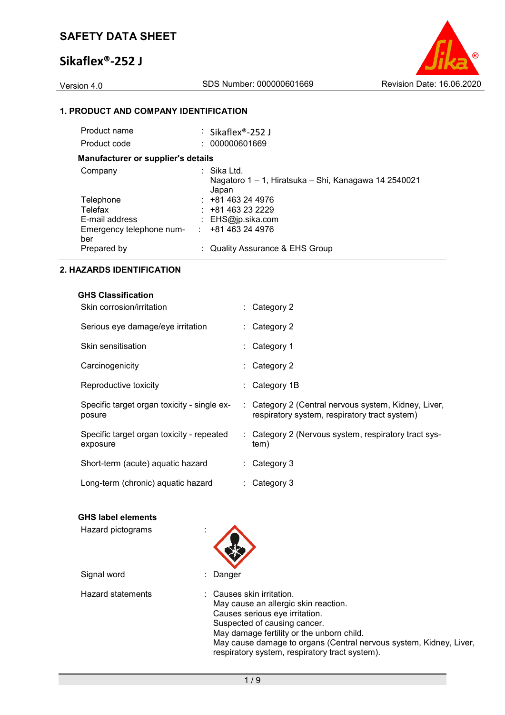# **Sikaflex®-252 J**



### **1. PRODUCT AND COMPANY IDENTIFICATION**

| Product name                              | : Sikaflex®-252 J                                                            |
|-------------------------------------------|------------------------------------------------------------------------------|
| Product code                              | : 000000601669                                                               |
| <b>Manufacturer or supplier's details</b> |                                                                              |
| Company                                   | : Sika Ltd.<br>Nagatoro 1 – 1, Hiratsuka – Shi, Kanagawa 14 2540021<br>Japan |
| Telephone                                 | $: +81463244976$                                                             |
| Telefax                                   | $: +81463232229$                                                             |
| E-mail address                            | : $EHS@ip.sika.com$                                                          |
| Emergency telephone num-<br>ber           | $\div$ +81 463 24 4976                                                       |
| Prepared by                               | : Quality Assurance & EHS Group                                              |
|                                           |                                                                              |

### **2. HAZARDS IDENTIFICATION**

| <b>GHS Classification</b><br>Skin corrosion/irritation | $\therefore$ Category 2                                                                               |
|--------------------------------------------------------|-------------------------------------------------------------------------------------------------------|
| Serious eye damage/eye irritation                      | $\therefore$ Category 2                                                                               |
| Skin sensitisation                                     | $\therefore$ Category 1                                                                               |
| Carcinogenicity                                        | $\therefore$ Category 2                                                                               |
| Reproductive toxicity                                  | : Category 1B                                                                                         |
| Specific target organ toxicity - single ex-<br>posure  | : Category 2 (Central nervous system, Kidney, Liver,<br>respiratory system, respiratory tract system) |
| Specific target organ toxicity - repeated<br>exposure  | : Category 2 (Nervous system, respiratory tract sys-<br>tem)                                          |
| Short-term (acute) aquatic hazard                      | $\therefore$ Category 3                                                                               |
| Long-term (chronic) aquatic hazard                     | $\therefore$ Category 3                                                                               |

# **GHS label elements**

| Hazard pictograms        |                                                                                                                                                                                                                                                                                                          |
|--------------------------|----------------------------------------------------------------------------------------------------------------------------------------------------------------------------------------------------------------------------------------------------------------------------------------------------------|
| Signal word              | Danger                                                                                                                                                                                                                                                                                                   |
| <b>Hazard statements</b> | : Causes skin irritation.<br>May cause an allergic skin reaction.<br>Causes serious eye irritation.<br>Suspected of causing cancer.<br>May damage fertility or the unborn child.<br>May cause damage to organs (Central nervous system, Kidney, Liver,<br>respiratory system, respiratory tract system). |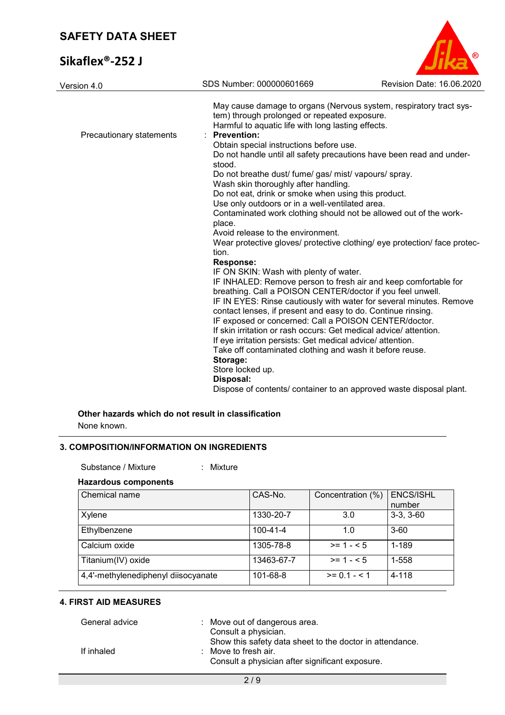# **Sikaflex®-252 J**



| Version 4.0              | SDS Number: 000000601669                                                                                                                                                                                                                                                                                                                                                                                                                                                                                                                                                                                                                                                                                                                                                                                                                                                                                                                                                                                                                                                                                                                                                                                                                                                                                                                                                                                                                                          | Revision Date: 16.06.2020 |
|--------------------------|-------------------------------------------------------------------------------------------------------------------------------------------------------------------------------------------------------------------------------------------------------------------------------------------------------------------------------------------------------------------------------------------------------------------------------------------------------------------------------------------------------------------------------------------------------------------------------------------------------------------------------------------------------------------------------------------------------------------------------------------------------------------------------------------------------------------------------------------------------------------------------------------------------------------------------------------------------------------------------------------------------------------------------------------------------------------------------------------------------------------------------------------------------------------------------------------------------------------------------------------------------------------------------------------------------------------------------------------------------------------------------------------------------------------------------------------------------------------|---------------------------|
| Precautionary statements | May cause damage to organs (Nervous system, respiratory tract sys-<br>tem) through prolonged or repeated exposure.<br>Harmful to aquatic life with long lasting effects.<br><b>Prevention:</b><br>Obtain special instructions before use.<br>Do not handle until all safety precautions have been read and under-<br>stood.<br>Do not breathe dust/ fume/ gas/ mist/ vapours/ spray.<br>Wash skin thoroughly after handling.<br>Do not eat, drink or smoke when using this product.<br>Use only outdoors or in a well-ventilated area.<br>Contaminated work clothing should not be allowed out of the work-<br>place.<br>Avoid release to the environment.<br>Wear protective gloves/ protective clothing/ eye protection/ face protec-<br>tion.<br><b>Response:</b><br>IF ON SKIN: Wash with plenty of water.<br>IF INHALED: Remove person to fresh air and keep comfortable for<br>breathing. Call a POISON CENTER/doctor if you feel unwell.<br>IF IN EYES: Rinse cautiously with water for several minutes. Remove<br>contact lenses, if present and easy to do. Continue rinsing.<br>IF exposed or concerned: Call a POISON CENTER/doctor.<br>If skin irritation or rash occurs: Get medical advice/attention.<br>If eye irritation persists: Get medical advice/ attention.<br>Take off contaminated clothing and wash it before reuse.<br>Storage:<br>Store locked up.<br>Disposal:<br>Dispose of contents/ container to an approved waste disposal plant. |                           |
|                          |                                                                                                                                                                                                                                                                                                                                                                                                                                                                                                                                                                                                                                                                                                                                                                                                                                                                                                                                                                                                                                                                                                                                                                                                                                                                                                                                                                                                                                                                   |                           |

# **Other hazards which do not result in classification**

None known.

### **3. COMPOSITION/INFORMATION ON INGREDIENTS**

### Substance / Mixture : Mixture :

#### **Hazardous components**

| Chemical name                       | CAS-No.        | Concentration (%) | <b>ENCS/ISHL</b><br>number |
|-------------------------------------|----------------|-------------------|----------------------------|
| Xylene                              | 1330-20-7      | 3.0               | $3-3, 3-60$                |
| Ethylbenzene                        | $100 - 41 - 4$ | 1.0               | $3 - 60$                   |
| Calcium oxide                       | 1305-78-8      | $>= 1 - 5$        | 1-189                      |
| Titanium(IV) oxide                  | 13463-67-7     | $>= 1 - 5$        | 1-558                      |
| 4,4'-methylenediphenyl diisocyanate | 101-68-8       | $>= 0.1 - 5.1$    | $4 - 118$                  |

### **4. FIRST AID MEASURES**

| General advice | : Move out of dangerous area.<br>Consult a physician.                                                                                          |
|----------------|------------------------------------------------------------------------------------------------------------------------------------------------|
| If inhaled     | Show this safety data sheet to the doctor in attendance.<br>$\therefore$ Move to fresh air.<br>Consult a physician after significant exposure. |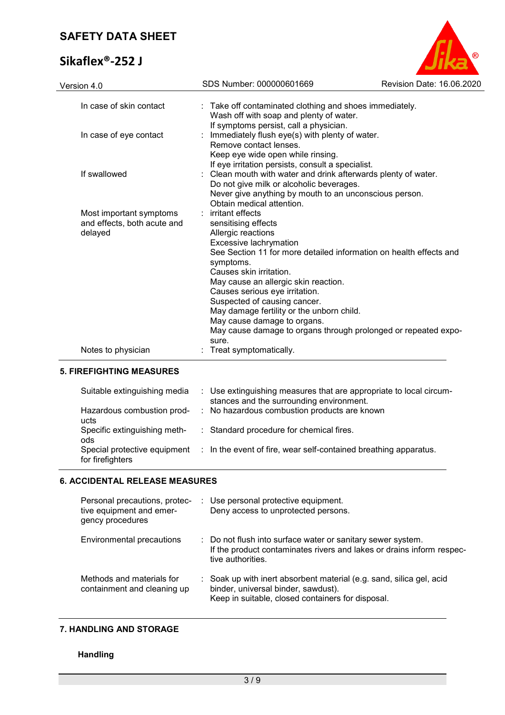# **Sikaflex®-252 J**



| Version 4.0                                                       | SDS Number: 000000601669                                                                                                                                                                                                                                                                                                                                                                               | Revision Date: 16.06.2020                                      |
|-------------------------------------------------------------------|--------------------------------------------------------------------------------------------------------------------------------------------------------------------------------------------------------------------------------------------------------------------------------------------------------------------------------------------------------------------------------------------------------|----------------------------------------------------------------|
| In case of skin contact                                           | : Take off contaminated clothing and shoes immediately.<br>Wash off with soap and plenty of water.<br>If symptoms persist, call a physician.                                                                                                                                                                                                                                                           |                                                                |
| In case of eye contact                                            | : Immediately flush eye(s) with plenty of water.<br>Remove contact lenses.<br>Keep eye wide open while rinsing.<br>If eye irritation persists, consult a specialist.                                                                                                                                                                                                                                   |                                                                |
| If swallowed                                                      | Clean mouth with water and drink afterwards plenty of water.<br>Do not give milk or alcoholic beverages.<br>Never give anything by mouth to an unconscious person.<br>Obtain medical attention.                                                                                                                                                                                                        |                                                                |
| Most important symptoms<br>and effects, both acute and<br>delayed | : irritant effects<br>sensitising effects<br>Allergic reactions<br>Excessive lachrymation<br>See Section 11 for more detailed information on health effects and<br>symptoms.<br>Causes skin irritation.<br>May cause an allergic skin reaction.<br>Causes serious eye irritation.<br>Suspected of causing cancer.<br>May damage fertility or the unborn child.<br>May cause damage to organs.<br>sure. | May cause damage to organs through prolonged or repeated expo- |
| Notes to physician                                                | : Treat symptomatically.                                                                                                                                                                                                                                                                                                                                                                               |                                                                |
|                                                                   |                                                                                                                                                                                                                                                                                                                                                                                                        |                                                                |

# **5. FIREFIGHTING MEASURES**

| Suitable extinguishing media                     | : Use extinguishing measures that are appropriate to local circum-<br>stances and the surrounding environment. |
|--------------------------------------------------|----------------------------------------------------------------------------------------------------------------|
| Hazardous combustion prod-<br>ucts               | : No hazardous combustion products are known                                                                   |
| Specific extinguishing meth-<br>ods              | : Standard procedure for chemical fires.                                                                       |
| Special protective equipment<br>for firefighters | $\therefore$ In the event of fire, wear self-contained breathing apparatus.                                    |

# **6. ACCIDENTAL RELEASE MEASURES**

| Personal precautions, protec-<br>tive equipment and emer-<br>gency procedures | Use personal protective equipment.<br>Deny access to unprotected persons.                                                                                        |
|-------------------------------------------------------------------------------|------------------------------------------------------------------------------------------------------------------------------------------------------------------|
| Environmental precautions                                                     | : Do not flush into surface water or sanitary sewer system.<br>If the product contaminates rivers and lakes or drains inform respec-<br>tive authorities.        |
| Methods and materials for<br>containment and cleaning up                      | : Soak up with inert absorbent material (e.g. sand, silica gel, acid<br>binder, universal binder, sawdust).<br>Keep in suitable, closed containers for disposal. |

# **7. HANDLING AND STORAGE**

# **Handling**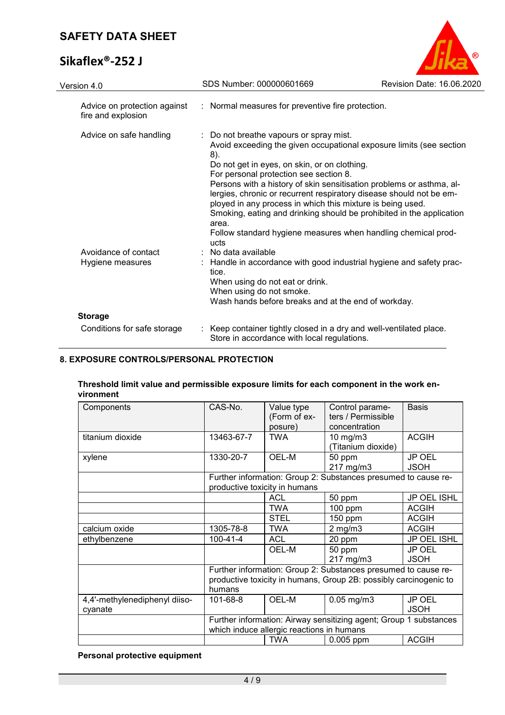# **Sikaflex®-252 J**



| Version 4.0                                        | SDS Number: 000000601669                                                                                                                                                                                                                                                                                                                                                                                                                | Revision Date: 16.06.2020                                                                                                                   |
|----------------------------------------------------|-----------------------------------------------------------------------------------------------------------------------------------------------------------------------------------------------------------------------------------------------------------------------------------------------------------------------------------------------------------------------------------------------------------------------------------------|---------------------------------------------------------------------------------------------------------------------------------------------|
| Advice on protection against<br>fire and explosion | : Normal measures for preventive fire protection.                                                                                                                                                                                                                                                                                                                                                                                       |                                                                                                                                             |
| Advice on safe handling                            | : Do not breathe vapours or spray mist.<br>8).<br>Do not get in eyes, on skin, or on clothing.<br>For personal protection see section 8.<br>Persons with a history of skin sensitisation problems or asthma, al-<br>lergies, chronic or recurrent respiratory disease should not be em-<br>ployed in any process in which this mixture is being used.<br>area.<br>Follow standard hygiene measures when handling chemical prod-<br>ucts | Avoid exceeding the given occupational exposure limits (see section<br>Smoking, eating and drinking should be prohibited in the application |
| Avoidance of contact<br>Hygiene measures           | : No data available<br>: Handle in accordance with good industrial hygiene and safety prac-<br>tice.<br>When using do not eat or drink.<br>When using do not smoke.<br>Wash hands before breaks and at the end of workday.                                                                                                                                                                                                              |                                                                                                                                             |
| <b>Storage</b>                                     |                                                                                                                                                                                                                                                                                                                                                                                                                                         |                                                                                                                                             |
| Conditions for safe storage                        | : Keep container tightly closed in a dry and well-ventilated place.<br>Store in accordance with local regulations.                                                                                                                                                                                                                                                                                                                      |                                                                                                                                             |

# **8. EXPOSURE CONTROLS/PERSONAL PROTECTION**

### **Threshold limit value and permissible exposure limits for each component in the work environment**

| Components                    | CAS-No.                                                           | Value type                    | Control parame-                                                | <b>Basis</b> |
|-------------------------------|-------------------------------------------------------------------|-------------------------------|----------------------------------------------------------------|--------------|
|                               |                                                                   |                               |                                                                |              |
|                               |                                                                   | (Form of ex-                  | ters / Permissible                                             |              |
|                               |                                                                   | posure)                       | concentration                                                  |              |
| titanium dioxide              | 13463-67-7                                                        | <b>TWA</b>                    | $10$ mg/m $3$                                                  | <b>ACGIH</b> |
|                               |                                                                   |                               | (Titanium dioxide)                                             |              |
| xylene                        | 1330-20-7                                                         | OEL-M                         | 50 ppm                                                         | JP OEL       |
|                               |                                                                   |                               | 217 mg/m3                                                      | <b>JSOH</b>  |
|                               |                                                                   |                               | Further information: Group 2: Substances presumed to cause re- |              |
|                               |                                                                   | productive toxicity in humans |                                                                |              |
|                               |                                                                   | <b>ACL</b>                    | 50 ppm                                                         | JP OEL ISHL  |
|                               |                                                                   | <b>TWA</b>                    | $100$ ppm                                                      | <b>ACGIH</b> |
|                               |                                                                   | <b>STEL</b>                   | 150 ppm                                                        | <b>ACGIH</b> |
| calcium oxide                 | 1305-78-8                                                         | <b>TWA</b>                    | $2$ mg/m $3$                                                   | <b>ACGIH</b> |
| ethylbenzene                  | $100 - 41 - 4$                                                    | <b>ACL</b>                    | 20 ppm                                                         | JP OEL ISHL  |
|                               |                                                                   | <b>OEL-M</b>                  | 50 ppm                                                         | JP OEL       |
|                               |                                                                   |                               | 217 mg/m3                                                      | <b>JSOH</b>  |
|                               |                                                                   |                               | Further information: Group 2: Substances presumed to cause re- |              |
|                               | productive toxicity in humans, Group 2B: possibly carcinogenic to |                               |                                                                |              |
|                               | humans                                                            |                               |                                                                |              |
| 4,4'-methylenediphenyl diiso- | 101-68-8                                                          | OEL-M                         | $0.05$ mg/m $3$                                                | JP OEL       |
| cyanate                       |                                                                   |                               |                                                                | <b>JSOH</b>  |
|                               | Further information: Airway sensitizing agent; Group 1 substances |                               |                                                                |              |
|                               | which induce allergic reactions in humans                         |                               |                                                                |              |
|                               |                                                                   | <b>TWA</b>                    | $0.005$ ppm                                                    | <b>ACGIH</b> |

**Personal protective equipment**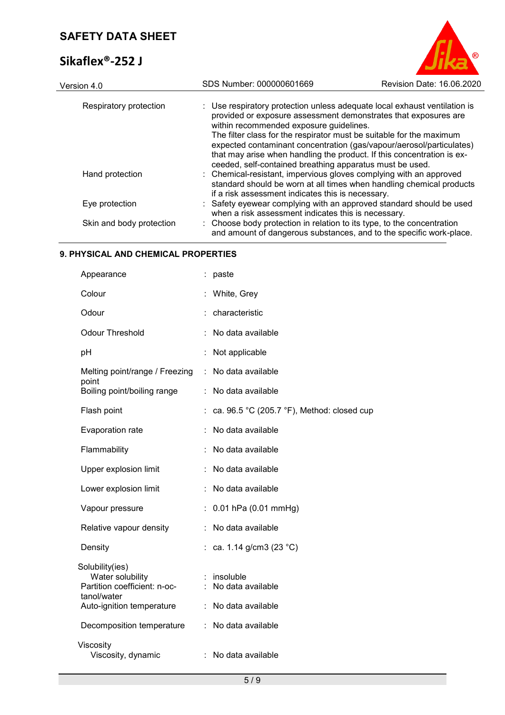# Sikaflex<sup>®</sup>

| Sikaflex <sup>®</sup> -252 J |                                                                                                                                                                                                                                                                                                                                                                                                                                                                               |                           |
|------------------------------|-------------------------------------------------------------------------------------------------------------------------------------------------------------------------------------------------------------------------------------------------------------------------------------------------------------------------------------------------------------------------------------------------------------------------------------------------------------------------------|---------------------------|
| Version 4.0                  | SDS Number: 000000601669                                                                                                                                                                                                                                                                                                                                                                                                                                                      | Revision Date: 16.06.2020 |
| Respiratory protection       | : Use respiratory protection unless adequate local exhaust ventilation is<br>provided or exposure assessment demonstrates that exposures are<br>within recommended exposure guidelines.<br>The filter class for the respirator must be suitable for the maximum<br>expected contaminant concentration (gas/vapour/aerosol/particulates)<br>that may arise when handling the product. If this concentration is ex-<br>ceeded, self-contained breathing apparatus must be used. |                           |
| Hand protection              | : Chemical-resistant, impervious gloves complying with an approved<br>standard should be worn at all times when handling chemical products<br>if a risk assessment indicates this is necessary.                                                                                                                                                                                                                                                                               |                           |

| Eye protection           | : Safety eyewear complying with an approved standard should be used  |
|--------------------------|----------------------------------------------------------------------|
|                          | when a risk assessment indicates this is necessary.                  |
| Skin and hody protoction | Choose hody protection in relation to its type, to the concentration |

#### Skin and body protection  $\qquad \quad : \quad$  Choose body protection in relation to its type, to the concentration and amount of dangerous substances, and to the specific work-place.

### **9. PHYSICAL AND CHEMICAL PROPERTIES**

| Appearance                                                                                                      |    | : paste                                                   |
|-----------------------------------------------------------------------------------------------------------------|----|-----------------------------------------------------------|
| Colour                                                                                                          |    | White, Grey                                               |
| Odour                                                                                                           |    | : characteristic                                          |
| <b>Odour Threshold</b>                                                                                          |    | No data available                                         |
| рH                                                                                                              |    | Not applicable                                            |
| Melting point/range / Freezing                                                                                  | ÷  | No data available                                         |
| point<br>Boiling point/boiling range                                                                            | ÷  | No data available                                         |
| Flash point                                                                                                     |    | ca. 96.5 °C (205.7 °F), Method: closed cup                |
| Evaporation rate                                                                                                |    | No data available                                         |
| Flammability                                                                                                    |    | No data available                                         |
| Upper explosion limit                                                                                           |    | No data available                                         |
| Lower explosion limit                                                                                           |    | No data available                                         |
| Vapour pressure                                                                                                 |    | $: 0.01$ hPa (0.01 mmHg)                                  |
| Relative vapour density                                                                                         |    | No data available                                         |
| Density                                                                                                         |    | : ca. 1.14 g/cm3 (23 °C)                                  |
| Solubility(ies)<br>Water solubility<br>Partition coefficient: n-oc-<br>tanol/water<br>Auto-ignition temperature |    | : insoluble<br>: No data available<br>: No data available |
| Decomposition temperature                                                                                       | ÷. | No data available                                         |
| Viscosity<br>Viscosity, dynamic                                                                                 |    | : No data available                                       |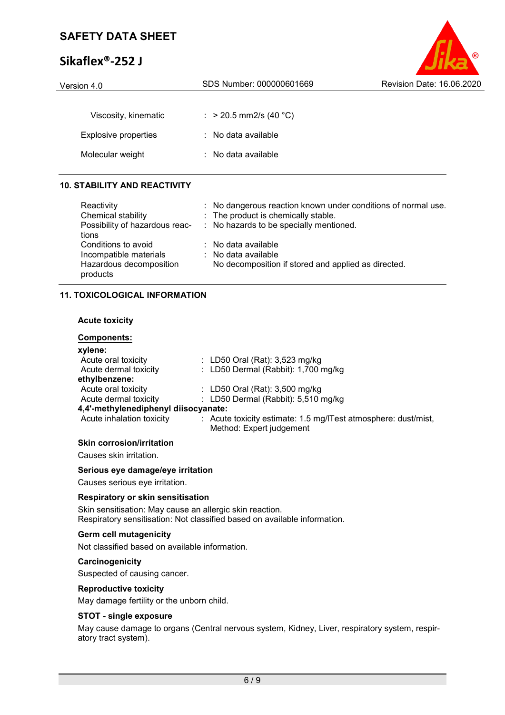# **Sikaflex®-252 J**



| Version 4.0                 | SDS Number: 000000601669       | Revision Date: 16.06.2020 |  |
|-----------------------------|--------------------------------|---------------------------|--|
|                             |                                |                           |  |
| Viscosity, kinematic        | : > 20.5 mm2/s (40 °C)         |                           |  |
| <b>Explosive properties</b> | $\therefore$ No data available |                           |  |
| Molecular weight            | $\therefore$ No data available |                           |  |
|                             |                                |                           |  |

# **10. STABILITY AND REACTIVITY**

| Reactivity                     | : No dangerous reaction known under conditions of normal use. |
|--------------------------------|---------------------------------------------------------------|
| Chemical stability             | : The product is chemically stable.                           |
| Possibility of hazardous reac- | : No hazards to be specially mentioned.                       |
| tions                          |                                                               |
| Conditions to avoid            | $\therefore$ No data available                                |
| Incompatible materials         | $:$ No data available                                         |
| Hazardous decomposition        | No decomposition if stored and applied as directed.           |
| products                       |                                                               |

### **11. TOXICOLOGICAL INFORMATION**

### **Acute toxicity**

### **Components:**

| xylene:                              |                                                                                            |
|--------------------------------------|--------------------------------------------------------------------------------------------|
| Acute oral toxicity                  | : LD50 Oral (Rat): 3,523 mg/kg                                                             |
| Acute dermal toxicity                | : LD50 Dermal (Rabbit): 1,700 mg/kg                                                        |
| ethylbenzene:                        |                                                                                            |
| Acute oral toxicity                  | : LD50 Oral (Rat): 3,500 mg/kg                                                             |
| Acute dermal toxicity                | : LD50 Dermal (Rabbit): 5,510 mg/kg                                                        |
| 4,4'-methylenediphenyl diisocyanate: |                                                                                            |
| Acute inhalation toxicity            | : Acute toxicity estimate: 1.5 mg/ITest atmosphere: dust/mist,<br>Method: Expert judgement |
|                                      |                                                                                            |

### **Skin corrosion/irritation**

Causes skin irritation.

#### **Serious eye damage/eye irritation**

Causes serious eye irritation.

### **Respiratory or skin sensitisation**

Skin sensitisation: May cause an allergic skin reaction. Respiratory sensitisation: Not classified based on available information.

### **Germ cell mutagenicity**

Not classified based on available information.

#### **Carcinogenicity**

Suspected of causing cancer.

#### **Reproductive toxicity**

May damage fertility or the unborn child.

### **STOT - single exposure**

May cause damage to organs (Central nervous system, Kidney, Liver, respiratory system, respiratory tract system).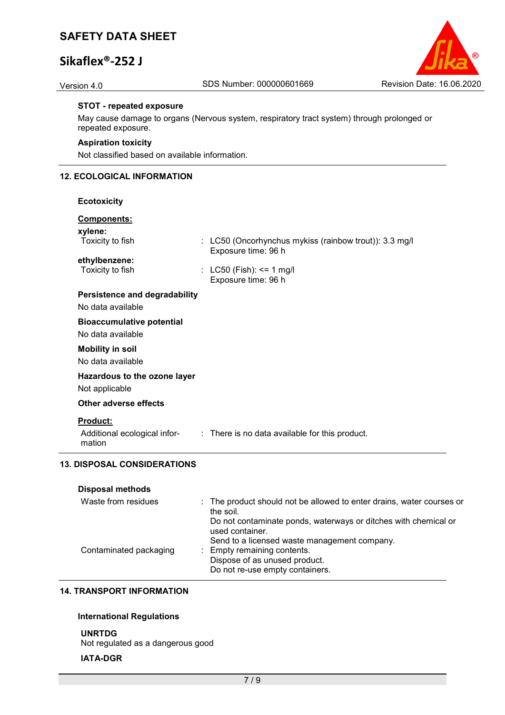# **Sikaflex®-252 J**



### **STOT - repeated exposure**

May cause damage to organs (Nervous system, respiratory tract system) through prolonged or repeated exposure.

#### **Aspiration toxicity**

Not classified based on available information.

# **12. ECOLOGICAL INFORMATION**

| <b>Ecotoxicity</b>                                        |                                                                               |
|-----------------------------------------------------------|-------------------------------------------------------------------------------|
| Components:                                               |                                                                               |
| xylene:<br>Toxicity to fish                               | : LC50 (Oncorhynchus mykiss (rainbow trout)): 3.3 mg/l<br>Exposure time: 96 h |
| ethylbenzene:<br>Toxicity to fish                         | : LC50 (Fish): $\le$ 1 mg/l<br>Exposure time: 96 h                            |
| <b>Persistence and degradability</b>                      |                                                                               |
| No data available                                         |                                                                               |
| <b>Bioaccumulative potential</b><br>No data available     |                                                                               |
| <b>Mobility in soil</b><br>No data available              |                                                                               |
| Hazardous to the ozone layer<br>Not applicable            |                                                                               |
| <b>Other adverse effects</b>                              |                                                                               |
| <b>Product:</b><br>Additional ecological infor-<br>mation | : There is no data available for this product.                                |

# **Disposal methods**

| Waste from residues    | : The product should not be allowed to enter drains, water courses or<br>the soil. |
|------------------------|------------------------------------------------------------------------------------|
|                        | Do not contaminate ponds, waterways or ditches with chemical or<br>used container. |
|                        | Send to a licensed waste management company.                                       |
| Contaminated packaging | : Empty remaining contents.                                                        |
|                        | Dispose of as unused product.                                                      |
|                        | Do not re-use empty containers.                                                    |
|                        |                                                                                    |

# **14. TRANSPORT INFORMATION**

### **International Regulations**

**UNRTDG** Not regulated as a dangerous good

# **IATA-DGR**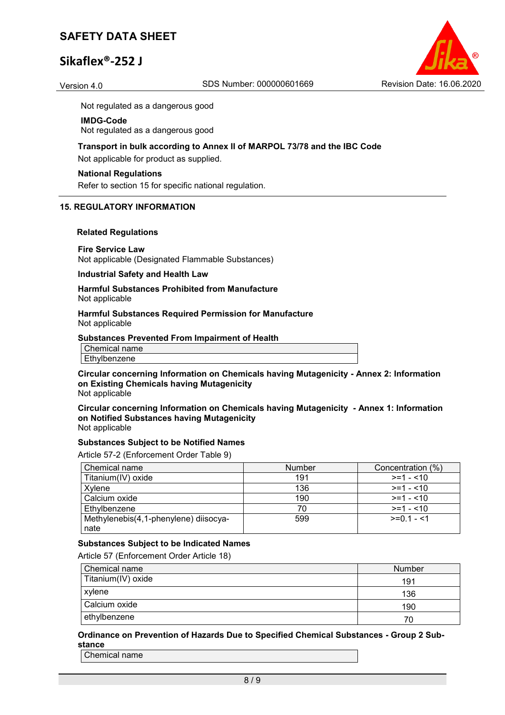# **Sikaflex®-252 J**



Not regulated as a dangerous good

#### **IMDG-Code**

Not regulated as a dangerous good

#### **Transport in bulk according to Annex II of MARPOL 73/78 and the IBC Code**

Not applicable for product as supplied.

#### **National Regulations**

Refer to section 15 for specific national regulation.

#### **15. REGULATORY INFORMATION**

#### **Related Regulations**

#### **Fire Service Law**

Not applicable (Designated Flammable Substances)

### **Industrial Safety and Health Law**

#### **Harmful Substances Prohibited from Manufacture** Not applicable

#### **Harmful Substances Required Permission for Manufacture** Not applicable

#### **Substances Prevented From Impairment of Health**

| name<br>$\sim$ $\sim$ $\sim$<br>ier |  |
|-------------------------------------|--|
| . .<br>ene<br>ים ו                  |  |

#### **Circular concerning Information on Chemicals having Mutagenicity - Annex 2: Information on Existing Chemicals having Mutagenicity** Not applicable

**Circular concerning Information on Chemicals having Mutagenicity - Annex 1: Information on Notified Substances having Mutagenicity**

Not applicable

#### **Substances Subject to be Notified Names**

Article 57-2 (Enforcement Order Table 9)

| Chemical name                         | <b>Number</b> | Concentration (%) |
|---------------------------------------|---------------|-------------------|
| Titanium(IV) oxide                    | 191           | $>=1 - 10$        |
| Xylene                                | 136           | $>=1 - 10$        |
| Calcium oxide                         | 190           | $>=1 - 10$        |
| Ethylbenzene                          | 70            | $>= 1 - 10$       |
| Methylenebis(4,1-phenylene) diisocya- | 599           | $>=01 - 51$       |
| nate                                  |               |                   |

### **Substances Subject to be Indicated Names**

Article 57 (Enforcement Order Article 18)

| Chemical name      | Number |
|--------------------|--------|
| Titanium(IV) oxide | 191    |
| xylene             | 136    |
| Calcium oxide      | 190    |
| ethylbenzene       | 70     |

### **Ordinance on Prevention of Hazards Due to Specified Chemical Substances - Group 2 Substance**

Chemical name